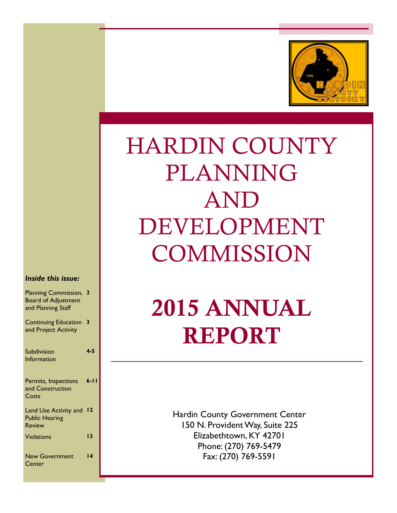

# HARDIN COUNTY PLANNING AND DEVELOPMENT **COMMISSION**

#### *Inside this issue:*

| <b>Planning Commission,</b><br><b>Board of Adjustment</b><br>and Planning Staff | $\mathbf{2}$    |
|---------------------------------------------------------------------------------|-----------------|
| <b>Continuing Education</b><br>and Project Activity                             | 3               |
| Subdivision                                                                     | $4 - 5$         |
| Information<br>Permits, Inspections                                             | $6 - 11$        |
| and Construction<br>Costs                                                       |                 |
| Land Use Activity and<br><b>Public Hearing</b><br><b>Review</b>                 | $\overline{12}$ |
| <b>Violations</b>                                                               | 13              |
| <b>New Government</b><br>Center                                                 | 14              |

# 2015 ANNUAL REPORT

Hardin County Government Center 150 N. Provident Way, Suite 225 Elizabethtown, KY 42701 Phone: (270) 769-5479 Fax: (270) 769-5591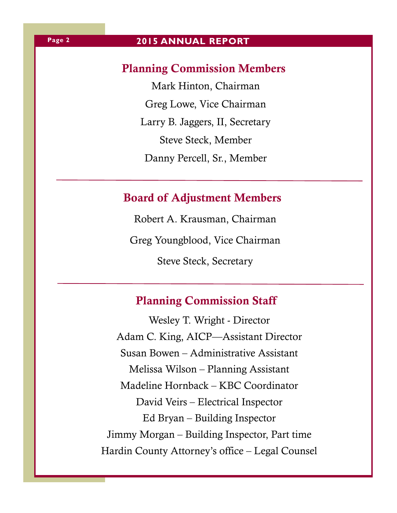# **2015 ANNUAL REPORT**

## Planning Commission Members

Mark Hinton, Chairman Greg Lowe, Vice Chairman Larry B. Jaggers, II, Secretary Steve Steck, Member Danny Percell, Sr., Member

# Board of Adjustment Members

Robert A. Krausman, Chairman Greg Youngblood, Vice Chairman Steve Steck, Secretary

# Planning Commission Staff

Wesley T. Wright - Director Adam C. King, AICP—Assistant Director Susan Bowen – Administrative Assistant Melissa Wilson – Planning Assistant Madeline Hornback – KBC Coordinator David Veirs – Electrical Inspector Ed Bryan – Building Inspector Jimmy Morgan – Building Inspector, Part time Hardin County Attorney's office – Legal Counsel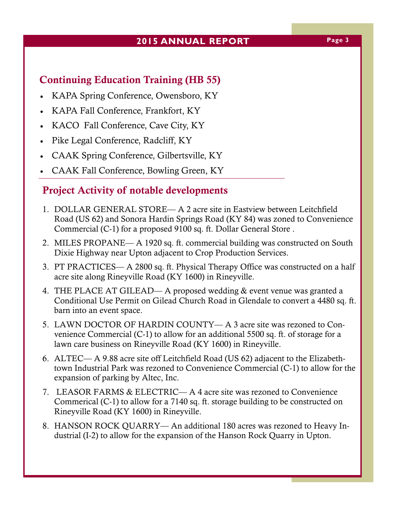### **2015 ANNUAL REPORT Page 3**

# Continuing Education Training (HB 55)

- KAPA Spring Conference, Owensboro, KY
- KAPA Fall Conference, Frankfort, KY
- KACO Fall Conference, Cave City, KY
- Pike Legal Conference, Radcliff, KY
- CAAK Spring Conference, Gilbertsville, KY
- CAAK Fall Conference, Bowling Green, KY

# Project Activity of notable developments

- 1. DOLLAR GENERAL STORE— A 2 acre site in Eastview between Leitchfield Road (US 62) and Sonora Hardin Springs Road (KY 84) was zoned to Convenience Commercial (C-1) for a proposed 9100 sq. ft. Dollar General Store .
- 2. MILES PROPANE— A 1920 sq. ft. commercial building was constructed on South Dixie Highway near Upton adjacent to Crop Production Services.
- 3. PT PRACTICES— A 2800 sq. ft. Physical Therapy Office was constructed on a half acre site along Rineyville Road (KY 1600) in Rineyville.
- 4. THE PLACE AT GILEAD— A proposed wedding & event venue was granted a Conditional Use Permit on Gilead Church Road in Glendale to convert a 4480 sq. ft. barn into an event space.
- 5. LAWN DOCTOR OF HARDIN COUNTY— A 3 acre site was rezoned to Convenience Commercial (C-1) to allow for an additional 5500 sq. ft. of storage for a lawn care business on Rineyville Road (KY 1600) in Rineyville.
- 6. ALTEC— A 9.88 acre site off Leitchfield Road (US 62) adjacent to the Elizabethtown Industrial Park was rezoned to Convenience Commercial (C-1) to allow for the expansion of parking by Altec, Inc.
- 7. LEASOR FARMS & ELECTRIC— A 4 acre site was rezoned to Convenience Commerical (C-1) to allow for a 7140 sq. ft. storage building to be constructed on Rineyville Road (KY 1600) in Rineyville.
- 8. HANSON ROCK QUARRY— An additional 180 acres was rezoned to Heavy Industrial (I-2) to allow for the expansion of the Hanson Rock Quarry in Upton.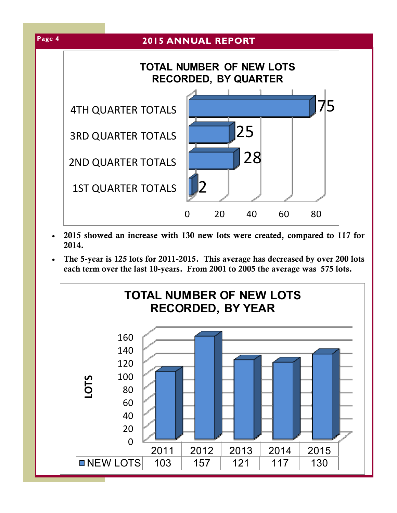

- 2015 showed an increase with 130 new lots were created, compared to 117 for 2014.
- The 5-year is 125 lots for 2011-2015. This average has decreased by over 200 lots each term over the last 10-years. From 2001 to 2005 the average was 575 lots.

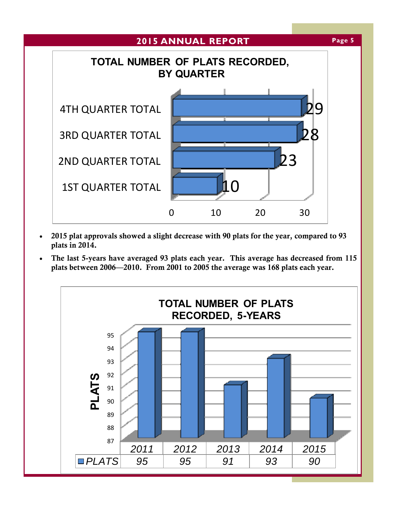

- 2015 plat approvals showed a slight decrease with 90 plats for the year, compared to 93 plats in 2014.
- The last 5-years have averaged 93 plats each year. This average has decreased from 115 plats between 2006—2010. From 2001 to 2005 the average was 168 plats each year.

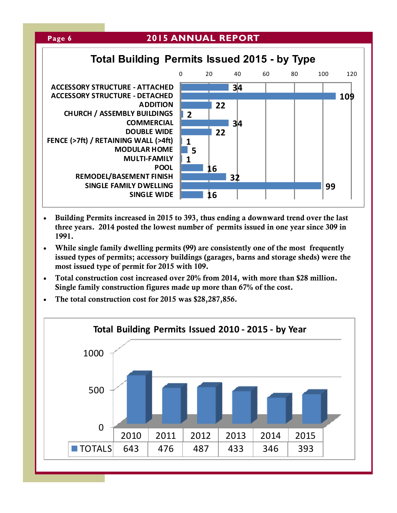

- Building Permits increased in 2015 to 393, thus ending a downward trend over the last three years. 2014 posted the lowest number of permits issued in one year since 309 in 1991.
- While single family dwelling permits (99) are consistently one of the most frequently issued types of permits; accessory buildings (garages, barns and storage sheds) were the most issued type of permit for 2015 with 109.
- Total construction cost increased over 20% from 2014, with more than \$28 million. Single family construction figures made up more than 67% of the cost.
- The total construction cost for 2015 was \$28,287,856.

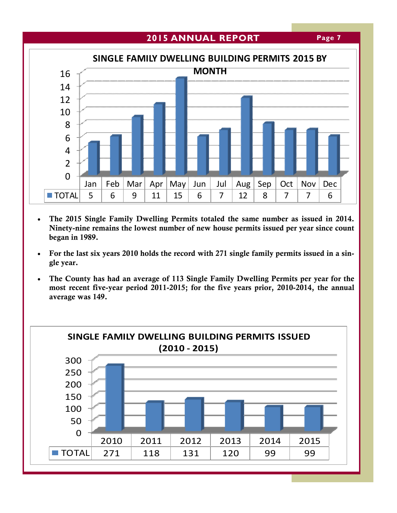### **2015 ANNUAL REPORT**





- The 2015 Single Family Dwelling Permits totaled the same number as issued in 2014. Ninety-nine remains the lowest number of new house permits issued per year since count began in 1989.
- For the last six years 2010 holds the record with 271 single family permits issued in a single year.
- The County has had an average of 113 Single Family Dwelling Permits per year for the most recent five-year period 2011-2015; for the five years prior, 2010-2014, the annual average was 149.

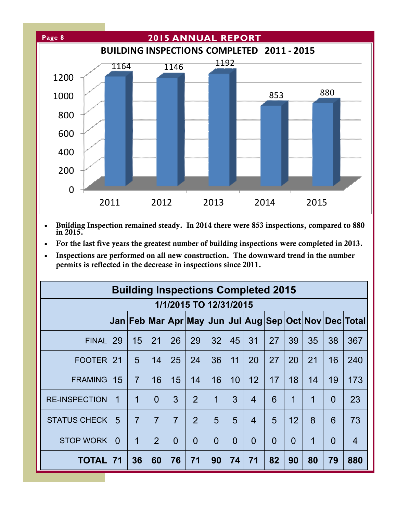

- Building Inspection remained steady. In 2014 there were 853 inspections, compared to 880 in 2015.
- For the last five years the greatest number of building inspections were completed in 2013.
- Inspections are performed on all new construction. The downward trend in the number permits is reflected in the decrease in inspections since 2011.

| <b>Building Inspections Completed 2015</b> |          |                |                |                |                |                        |          |                |                |          |    |          |                                                                               |
|--------------------------------------------|----------|----------------|----------------|----------------|----------------|------------------------|----------|----------------|----------------|----------|----|----------|-------------------------------------------------------------------------------|
|                                            |          |                |                |                |                | 1/1/2015 TO 12/31/2015 |          |                |                |          |    |          |                                                                               |
|                                            |          |                |                |                |                |                        |          |                |                |          |    |          | Jan   Feb   Mar   Apr   May   Jun   Jul   Aug   Sep   Oct   Nov   Dec   Total |
| <b>FINALI</b>                              | 29       | 15             | 21             | 26             | 29             | 32                     | 45       | 31             | 27             | 39       | 35 | 38       | 367                                                                           |
| <b>FOOTERI</b>                             | 21       | 5              | 14             | 25             | 24             | 36                     | 11       | 20             | 27             | 20       | 21 | 16       | 240                                                                           |
| <b>FRAMING</b>                             | 15       | $\overline{7}$ | 16             | 15             | 14             | 16                     | 10       | 12             | 17             | 18       | 14 | 19       | 173                                                                           |
| <b>RE-INSPECTION</b>                       | 1        | 1              | $\Omega$       | 3              | 2              | 1                      | 3        | $\overline{4}$ | 6              | 1        | 1  | $\Omega$ | 23                                                                            |
| <b>STATUS CHECKI</b>                       | 5        | $\overline{7}$ | $\overline{7}$ | $\overline{7}$ | $\overline{2}$ | 5                      | 5        | $\overline{4}$ | 5              | 12       | 8  | 6        | 73                                                                            |
| <b>STOP WORK</b>                           | $\Omega$ | 1              | $\overline{2}$ | $\Omega$       | $\Omega$       | $\Omega$               | $\Omega$ | $\Omega$       | $\overline{0}$ | $\Omega$ | 1  | $\Omega$ | $\overline{4}$                                                                |
| <b>TOTAL</b>                               | 71       | 36             | 60             | 76             | 71             | 90                     | 74       | 71             | 82             | 90       | 80 | 79       | 880                                                                           |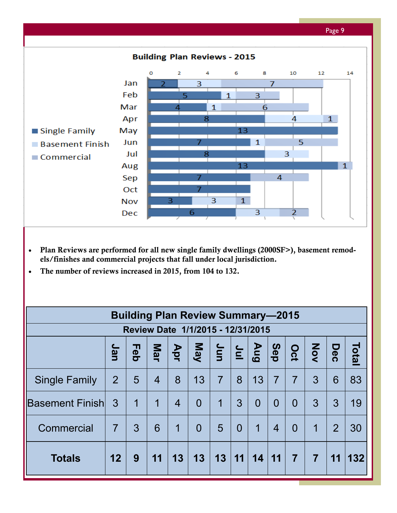

- Plan Reviews are performed for all new single family dwellings (2000SF>), basement remodels/finishes and commercial projects that fall under local jurisdiction.
- The number of reviews increased in 2015, from 104 to 132.

| <b>Building Plan Review Summary-2015</b> |                                   |                |                |                |                |                                                        |                |                |                |                |                  |                |       |
|------------------------------------------|-----------------------------------|----------------|----------------|----------------|----------------|--------------------------------------------------------|----------------|----------------|----------------|----------------|------------------|----------------|-------|
|                                          | Review Date 1/1/2015 - 12/31/2015 |                |                |                |                |                                                        |                |                |                |                |                  |                |       |
|                                          | Jan                               | Feb            | Mar            | Apr            | May            | $ \mathbf{\dot{\mathsf{s}}} \mathbf{\dot{\mathsf{s}}}$ |                | $\frac{1}{2}$  | Sep            | Oct            | $\sum_{i=1}^{n}$ | Dec            | Total |
| <b>Single Family</b>                     | $\overline{2}$                    | 5              | $\overline{4}$ | 8              | 13             | $\overline{7}$                                         | 8              | 13             | $\overline{7}$ | $\overline{7}$ | 3                | 6              | 83    |
| <b>Basement Finish</b>                   | $\mathbf{3}$                      | $\overline{1}$ | $\overline{1}$ | $\overline{4}$ | $\overline{0}$ | 1                                                      | 3              | $\overline{0}$ | $\overline{0}$ | $\Omega$       | 3                | 3              | 19    |
| Commercial                               | $\overline{7}$                    | 3              | 6              | $\mathbf 1$    | $\overline{0}$ | 5                                                      | $\overline{0}$ | $\overline{1}$ | $\overline{4}$ | $\Omega$       | $\overline{1}$   | $\overline{2}$ | 30    |
| <b>Totals</b>                            | 12                                | 9              | 11             | 13             | 13             | 13                                                     | 11             | 14             | 11             | $\overline{7}$ | 7                | 11             | 132   |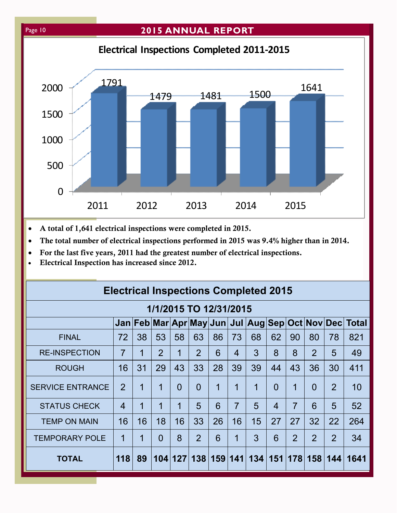### Page 10 **2015 ANNUAL REPORT**



- A total of 1,641 electrical inspections were completed in 2015.
- The total number of electrical inspections performed in 2015 was 9.4% higher than in 2014.
- For the last five years, 2011 had the greatest number of electrical inspections.
- Electrical Inspection has increased since 2012.

| <b>Electrical Inspections Completed 2015</b> |                                                          |                |                |           |                |    |                |                             |                |                |                |                |      |
|----------------------------------------------|----------------------------------------------------------|----------------|----------------|-----------|----------------|----|----------------|-----------------------------|----------------|----------------|----------------|----------------|------|
| 1/1/2015 TO 12/31/2015                       |                                                          |                |                |           |                |    |                |                             |                |                |                |                |      |
|                                              | Jan Feb Mar Apr May Jun  Jul  Aug Sep Oct Nov Dec  Total |                |                |           |                |    |                |                             |                |                |                |                |      |
| <b>FINAL</b>                                 | 72                                                       | 38             | 53             | 58        | 63             | 86 | 73             | 68                          | 62             | 90             | 80             | 78             | 821  |
| <b>RE-INSPECTION</b>                         | $\overline{7}$                                           | 1              | $\overline{2}$ | 1         | 2              | 6  | 4              | 3                           | 8              | 8              | $\overline{2}$ | 5              | 49   |
| <b>ROUGH</b>                                 | 16                                                       | 31             | 29             | 43        | 33             | 28 | 39             | 39                          | 44             | 43             | 36             | 30             | 411  |
| <b>SERVICE ENTRANCE</b>                      | $\overline{2}$                                           | 1              | 1              | $\Omega$  | $\overline{0}$ | 1  | 1              | $\overline{1}$              | $\overline{0}$ | 1              | $\overline{0}$ | $\overline{2}$ | 10   |
| <b>STATUS CHECK</b>                          | $\overline{4}$                                           | 1              | 1              | 1         | 5              | 6  | $\overline{7}$ | $5\overline{)}$             | $\overline{4}$ | $\overline{7}$ | 6              | 5              | 52   |
| <b>TEMP ON MAIN</b>                          | 16                                                       | 16             | 18             | 16        | 33             | 26 | 16             | 15                          | 27             | 27             | 32             | 22             | 264  |
| <b>TEMPORARY POLE</b>                        | 1                                                        | $\overline{1}$ | $\Omega$       | 8         | $\overline{2}$ | 6  | 1              | 3                           | 6              | $\overline{2}$ | $\overline{2}$ | $\overline{2}$ | 34   |
| <b>TOTAL</b>                                 | 118                                                      | 89             |                | 104   127 |                |    |                | 138   159   141   134   151 |                | 178            |                | 158 144        | 1641 |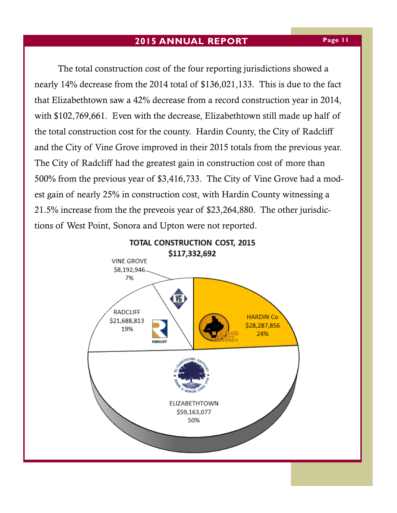#### **2015 ANNUAL REPORT**

 The total construction cost of the four reporting jurisdictions showed a nearly 14% decrease from the 2014 total of \$136,021,133. This is due to the fact that Elizabethtown saw a 42% decrease from a record construction year in 2014, with \$102,769,661. Even with the decrease, Elizabethtown still made up half of the total construction cost for the county. Hardin County, the City of Radcliff and the City of Vine Grove improved in their 2015 totals from the previous year. The City of Radcliff had the greatest gain in construction cost of more than 500% from the previous year of \$3,416,733. The City of Vine Grove had a modest gain of nearly 25% in construction cost, with Hardin County witnessing a 21.5% increase from the the preveois year of \$23,264,880. The other jurisdictions of West Point, Sonora and Upton were not reported.

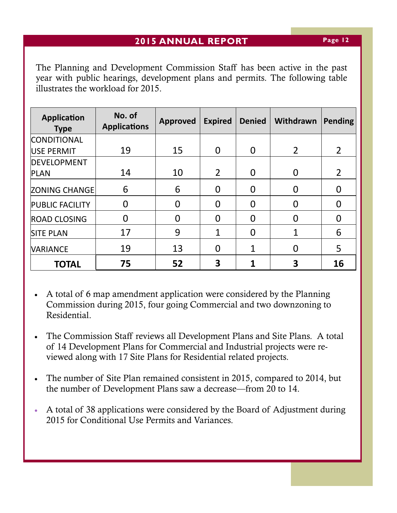The Planning and Development Commission Staff has been active in the past year with public hearings, development plans and permits. The following table illustrates the workload for 2015.

| <b>Application</b><br><b>Type</b> | No. of<br><b>Applications</b> | <b>Approved</b> | <b>Expired</b> | <b>Denied</b> | Withdrawn      | <b>Pending</b> |
|-----------------------------------|-------------------------------|-----------------|----------------|---------------|----------------|----------------|
| <b>CONDITIONAL</b>                |                               |                 |                |               |                |                |
| USE PERMIT                        | 19                            | 15              | $\Omega$       | 0             | $\overline{2}$ | $\overline{2}$ |
| <b>DEVELOPMENT</b>                |                               |                 |                |               |                |                |
| <b>PLAN</b>                       | 14                            | 10              | $\overline{2}$ | $\Omega$      | $\Omega$       | $\overline{2}$ |
| <b>ZONING CHANGE</b>              | 6                             | 6               | 0              | O             |                |                |
| <b>PUBLIC FACILITY</b>            | 0                             | 0               | 0              | 0             | $\Omega$       |                |
| <b>ROAD CLOSING</b>               | 0                             |                 | O              | O             | $\Box$         | O              |
| <b>SITE PLAN</b>                  | 17                            | 9               | 1              | O             |                | 6              |
| <b>VARIANCE</b>                   | 19                            | 13              | 0              |               | $\Omega$       | 5              |
| <b>TOTAL</b>                      | 75                            | 52              | 3              |               |                | 16             |

- A total of 6 map amendment application were considered by the Planning Commission during 2015, four going Commercial and two downzoning to Residential.
- The Commission Staff reviews all Development Plans and Site Plans. A total of 14 Development Plans for Commercial and Industrial projects were reviewed along with 17 Site Plans for Residential related projects.
- The number of Site Plan remained consistent in 2015, compared to 2014, but the number of Development Plans saw a decrease—from 20 to 14.
- A total of 38 applications were considered by the Board of Adjustment during 2015 for Conditional Use Permits and Variances.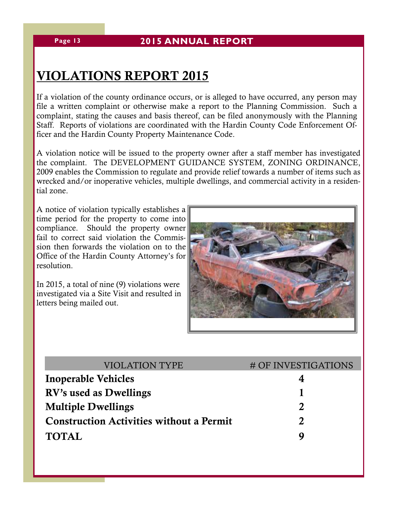# VIOLATIONS REPORT 2015

If a violation of the county ordinance occurs, or is alleged to have occurred, any person may file a written complaint or otherwise make a report to the Planning Commission. Such a complaint, stating the causes and basis thereof, can be filed anonymously with the Planning Staff. Reports of violations are coordinated with the Hardin County Code Enforcement Officer and the Hardin County Property Maintenance Code.

A violation notice will be issued to the property owner after a staff member has investigated the complaint. The DEVELOPMENT GUIDANCE SYSTEM, ZONING ORDINANCE, 2009 enables the Commission to regulate and provide relief towards a number of items such as wrecked and/or inoperative vehicles, multiple dwellings, and commercial activity in a residential zone.

A notice of violation typically establishes a time period for the property to come into compliance. Should the property owner fail to correct said violation the Commission then forwards the violation on to the Office of the Hardin County Attorney's for resolution.

In 2015, a total of nine (9) violations were investigated via a Site Visit and resulted in letters being mailed out.



| <b>VIOLATION TYPE</b>                           | # OF INVESTIGATIONS   |
|-------------------------------------------------|-----------------------|
| <b>Inoperable Vehicles</b>                      |                       |
| RV's used as Dwellings                          |                       |
| <b>Multiple Dwellings</b>                       | $\mathcal{D}_{\cdot}$ |
| <b>Construction Activities without a Permit</b> | $\mathbf{Z}$          |
| <b>TOTAL</b>                                    | Q                     |